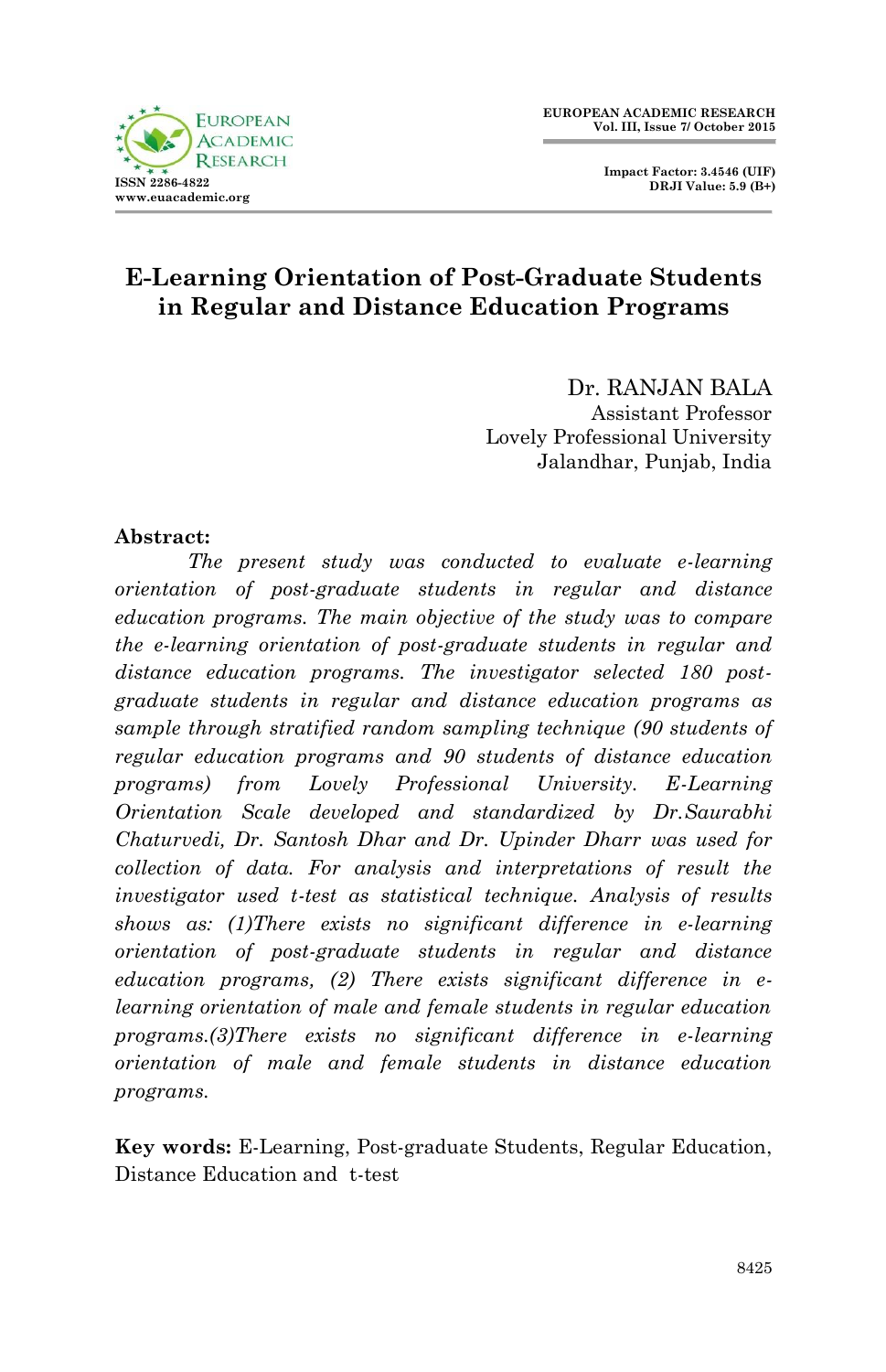



# **E-Learning Orientation of Post-Graduate Students in Regular and Distance Education Programs**

Dr. RANJAN BALA Assistant Professor Lovely Professional University Jalandhar, Punjab, India

#### **Abstract:**

*The present study was conducted to evaluate e-learning orientation of post-graduate students in regular and distance education programs. The main objective of the study was to compare the e-learning orientation of post-graduate students in regular and distance education programs. The investigator selected 180 postgraduate students in regular and distance education programs as sample through stratified random sampling technique (90 students of regular education programs and 90 students of distance education programs) from Lovely Professional University. E-Learning Orientation Scale developed and standardized by Dr.Saurabhi Chaturvedi, Dr. Santosh Dhar and Dr. Upinder Dharr was used for collection of data. For analysis and interpretations of result the investigator used t-test as statistical technique. Analysis of results shows as: (1)There exists no significant difference in e-learning orientation of post-graduate students in regular and distance education programs, (2) There exists significant difference in elearning orientation of male and female students in regular education programs.(3)There exists no significant difference in e-learning orientation of male and female students in distance education programs.*

**Key words:** E-Learning, Post-graduate Students, Regular Education, Distance Education and t-test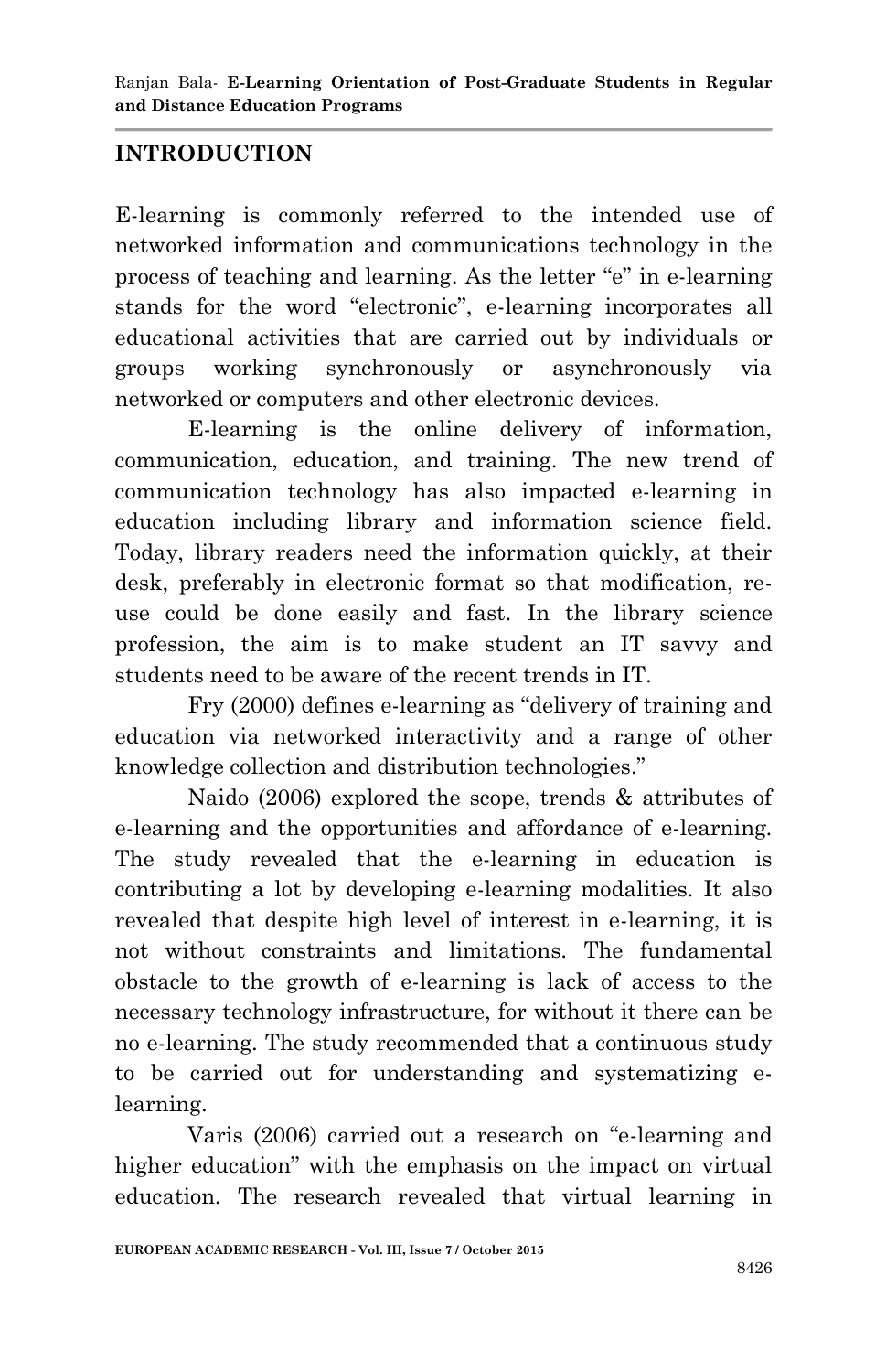## **INTRODUCTION**

E-learning is commonly referred to the intended use of networked information and communications technology in the process of teaching and learning. As the letter "e" in e-learning stands for the word "electronic", e-learning incorporates all educational activities that are carried out by individuals or groups working synchronously or asynchronously via networked or computers and other electronic devices.

E-learning is the online delivery of information, communication, education, and training. The new trend of communication technology has also impacted e-learning in education including library and information science field. Today, library readers need the information quickly, at their desk, preferably in electronic format so that modification, reuse could be done easily and fast. In the library science profession, the aim is to make student an IT savvy and students need to be aware of the recent trends in IT.

Fry (2000) defines e-learning as "delivery of training and education via networked interactivity and a range of other knowledge collection and distribution technologies."

Naido (2006) explored the scope, trends & attributes of e-learning and the opportunities and affordance of e-learning. The study revealed that the e-learning in education is contributing a lot by developing e-learning modalities. It also revealed that despite high level of interest in e-learning, it is not without constraints and limitations. The fundamental obstacle to the growth of e-learning is lack of access to the necessary technology infrastructure, for without it there can be no e-learning. The study recommended that a continuous study to be carried out for understanding and systematizing elearning.

Varis (2006) carried out a research on "e-learning and higher education" with the emphasis on the impact on virtual education. The research revealed that virtual learning in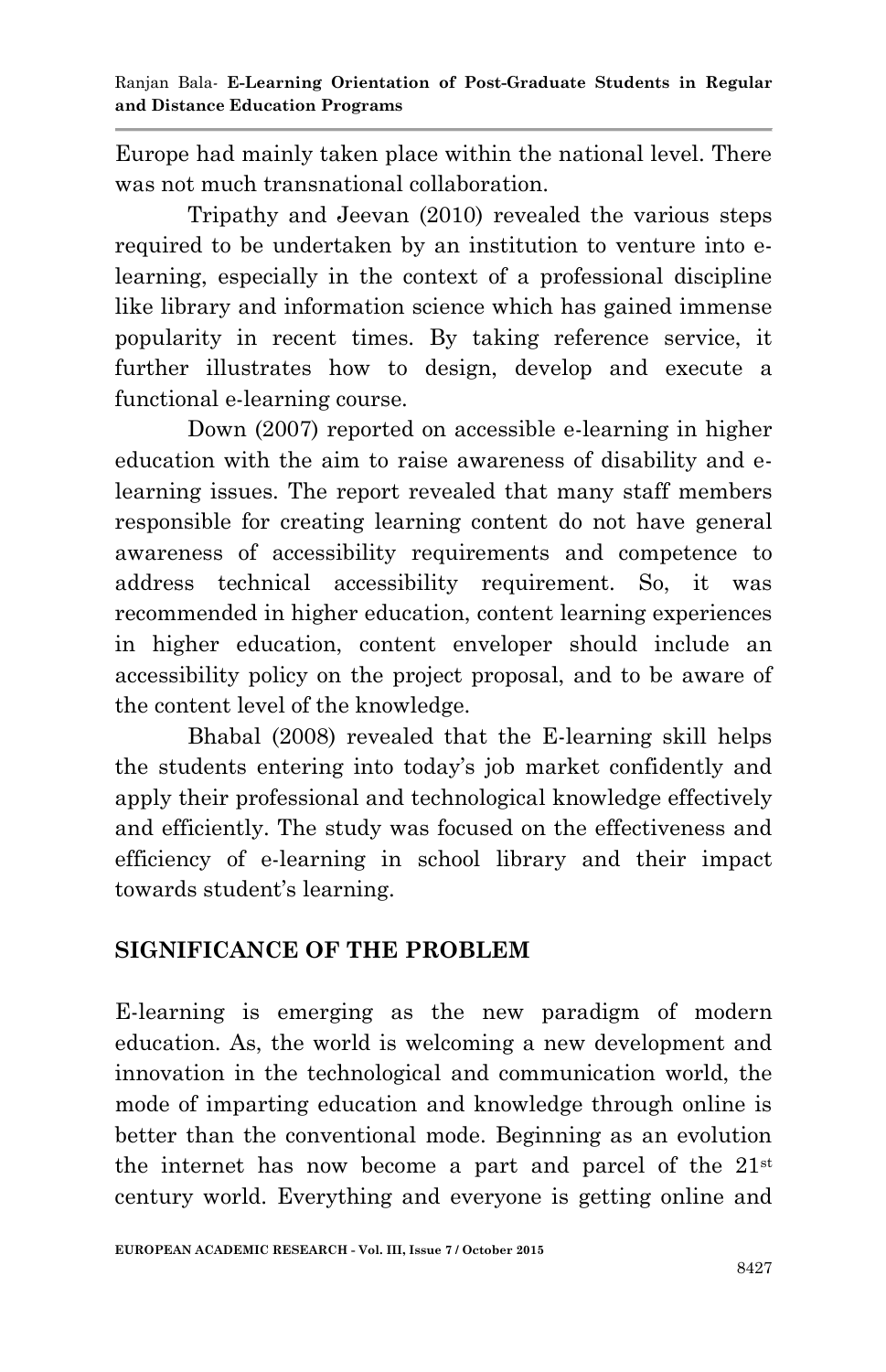Europe had mainly taken place within the national level. There was not much transnational collaboration.

Tripathy and Jeevan (2010) revealed the various steps required to be undertaken by an institution to venture into elearning, especially in the context of a professional discipline like library and information science which has gained immense popularity in recent times. By taking reference service, it further illustrates how to design, develop and execute a functional e-learning course.

Down (2007) reported on accessible e-learning in higher education with the aim to raise awareness of disability and elearning issues. The report revealed that many staff members responsible for creating learning content do not have general awareness of accessibility requirements and competence to address technical accessibility requirement. So, it was recommended in higher education, content learning experiences in higher education, content enveloper should include an accessibility policy on the project proposal, and to be aware of the content level of the knowledge.

Bhabal (2008) revealed that the E-learning skill helps the students entering into today"s job market confidently and apply their professional and technological knowledge effectively and efficiently. The study was focused on the effectiveness and efficiency of e-learning in school library and their impact towards student"s learning.

## **SIGNIFICANCE OF THE PROBLEM**

E-learning is emerging as the new paradigm of modern education. As, the world is welcoming a new development and innovation in the technological and communication world, the mode of imparting education and knowledge through online is better than the conventional mode. Beginning as an evolution the internet has now become a part and parcel of the  $21<sup>st</sup>$ century world. Everything and everyone is getting online and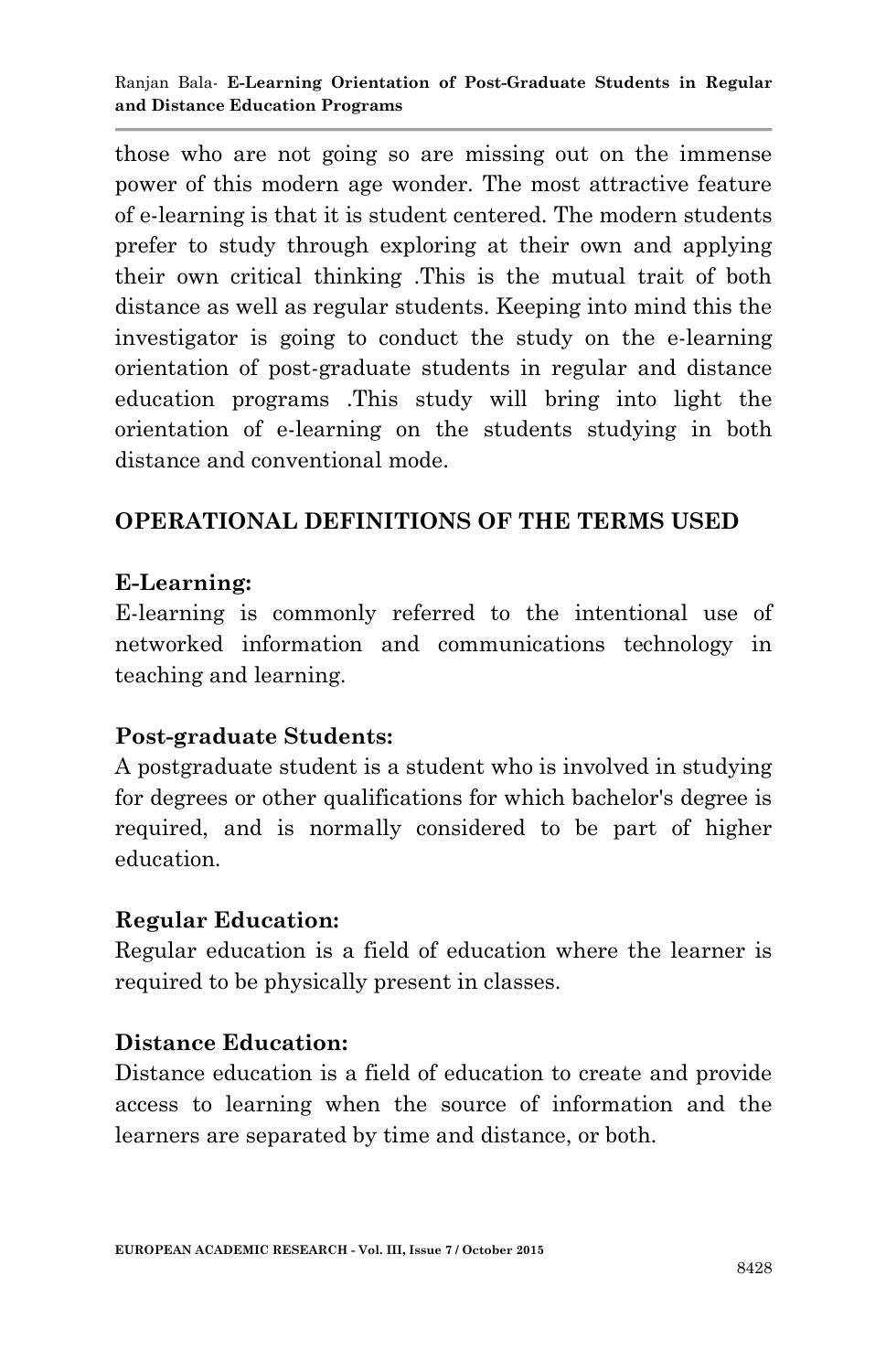those who are not going so are missing out on the immense power of this modern age wonder. The most attractive feature of e-learning is that it is student centered. The modern students prefer to study through exploring at their own and applying their own critical thinking .This is the mutual trait of both distance as well as regular students. Keeping into mind this the investigator is going to conduct the study on the e-learning orientation of post-graduate students in regular and distance education programs .This study will bring into light the orientation of e-learning on the students studying in both distance and conventional mode.

## **OPERATIONAL DEFINITIONS OF THE TERMS USED**

## **E-Learning:**

E-learning is commonly referred to the intentional use of networked information and communications technology in teaching and learning.

## **Post-graduate Students:**

A postgraduate student is a student who is involved in studying for degrees or other qualifications for which bachelor's degree is required, and is normally considered to be part of higher education.

## **Regular Education:**

Regular education is a field of education where the learner is required to be physically present in classes.

## **Distance Education:**

Distance education is a field of education to create and provide access to learning when the source of information and the learners are separated by time and distance, or both.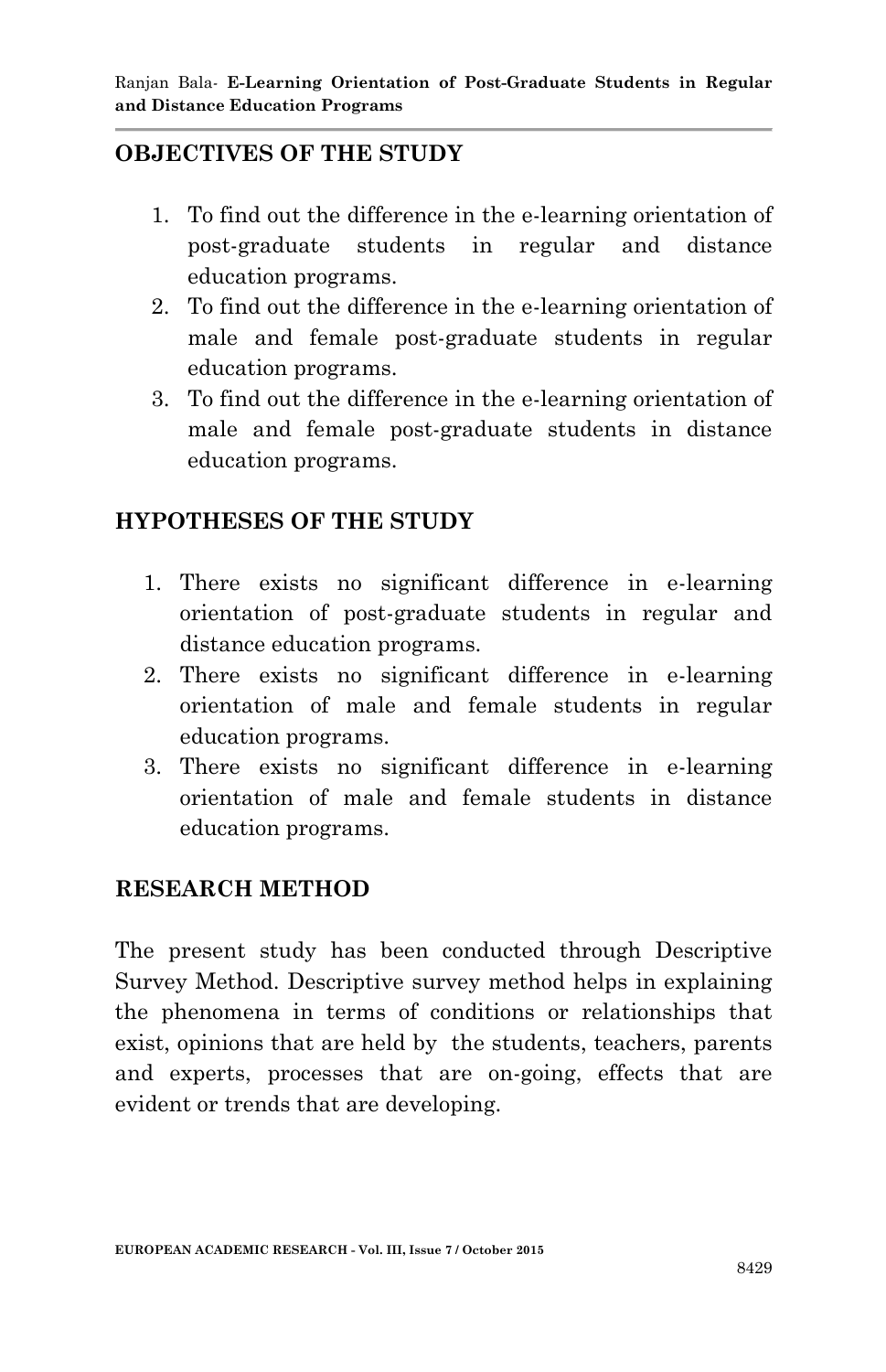## **OBJECTIVES OF THE STUDY**

- 1. To find out the difference in the e-learning orientation of post-graduate students in regular and distance education programs.
- 2. To find out the difference in the e-learning orientation of male and female post-graduate students in regular education programs.
- 3. To find out the difference in the e-learning orientation of male and female post-graduate students in distance education programs.

## **HYPOTHESES OF THE STUDY**

- 1. There exists no significant difference in e-learning orientation of post-graduate students in regular and distance education programs.
- 2. There exists no significant difference in e-learning orientation of male and female students in regular education programs.
- 3. There exists no significant difference in e-learning orientation of male and female students in distance education programs.

## **RESEARCH METHOD**

The present study has been conducted through Descriptive Survey Method. Descriptive survey method helps in explaining the phenomena in terms of conditions or relationships that exist, opinions that are held by the students, teachers, parents and experts, processes that are on-going, effects that are evident or trends that are developing.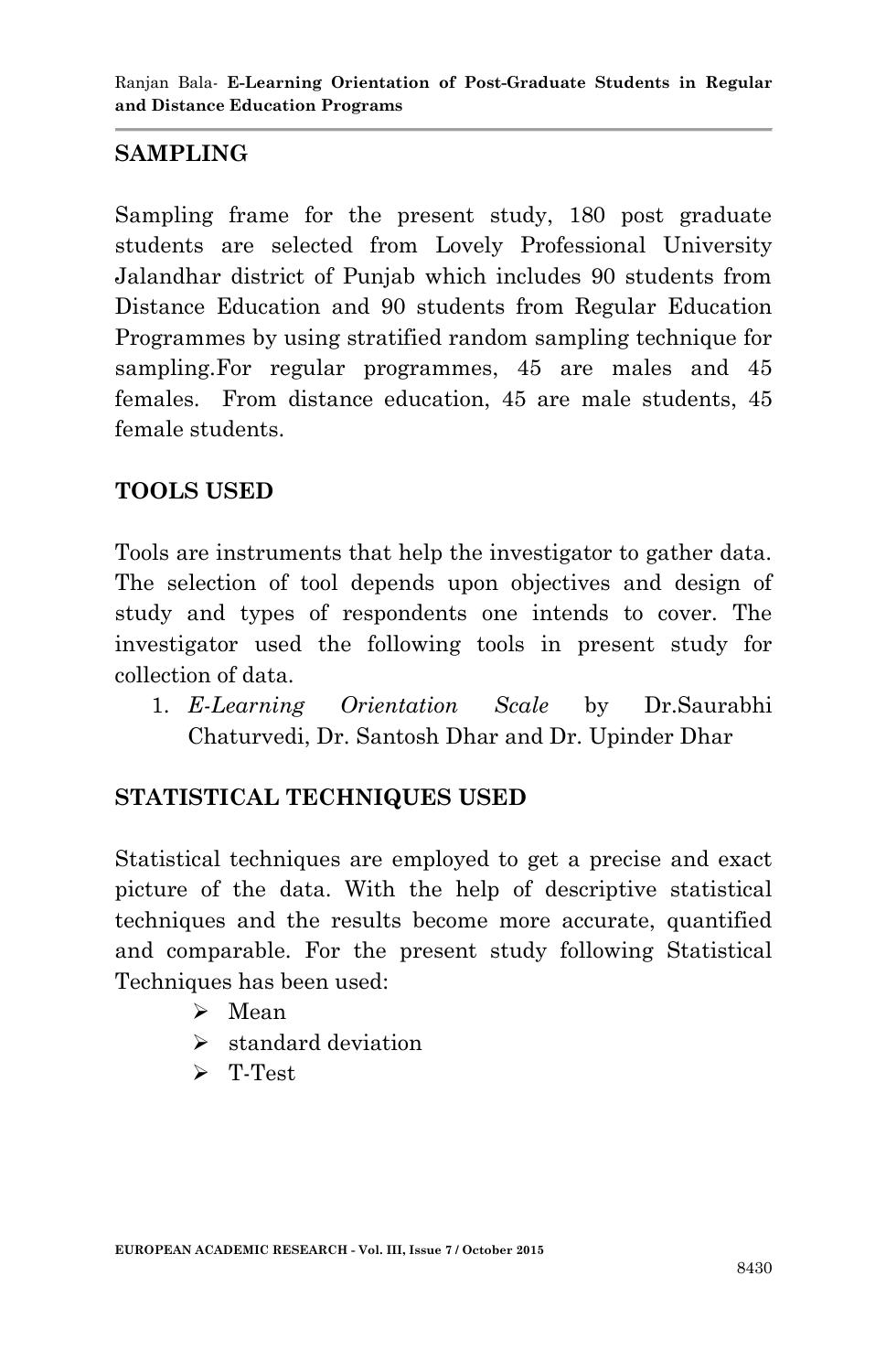## **SAMPLING**

Sampling frame for the present study, 180 post graduate students are selected from Lovely Professional University Jalandhar district of Punjab which includes 90 students from Distance Education and 90 students from Regular Education Programmes by using stratified random sampling technique for sampling.For regular programmes, 45 are males and 45 females. From distance education, 45 are male students, 45 female students.

## **TOOLS USED**

Tools are instruments that help the investigator to gather data. The selection of tool depends upon objectives and design of study and types of respondents one intends to cover. The investigator used the following tools in present study for collection of data.

1. *E-Learning Orientation Scale* by Dr.Saurabhi Chaturvedi, Dr. Santosh Dhar and Dr. Upinder Dhar

## **STATISTICAL TECHNIQUES USED**

Statistical techniques are employed to get a precise and exact picture of the data. With the help of descriptive statistical techniques and the results become more accurate, quantified and comparable. For the present study following Statistical Techniques has been used:

- $\triangleright$  Mean
- $\blacktriangleright$  standard deviation
- > T-Test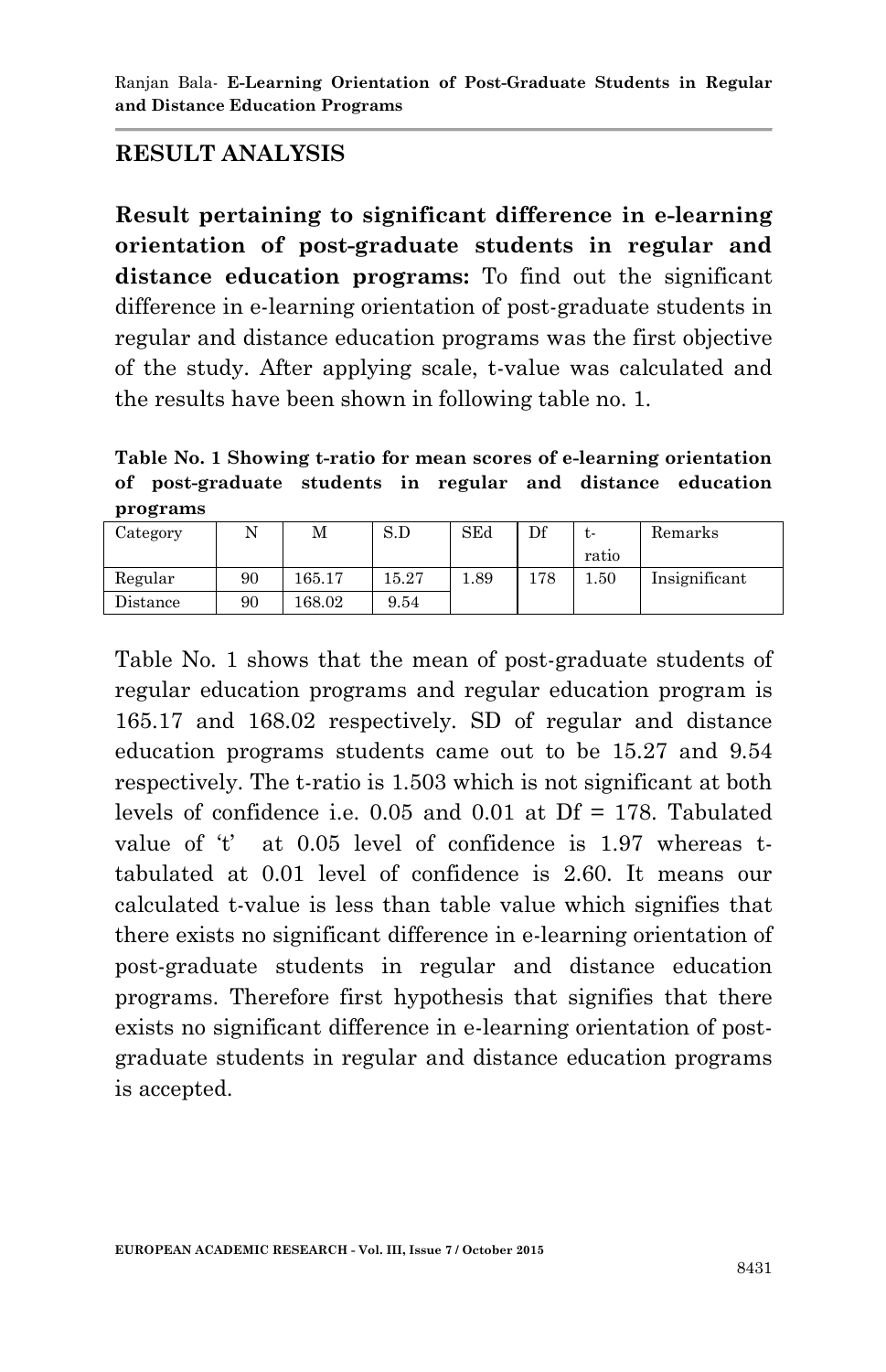# **RESULT ANALYSIS**

**Result pertaining to significant difference in e-learning orientation of post-graduate students in regular and distance education programs:** To find out the significant difference in e-learning orientation of post-graduate students in regular and distance education programs was the first objective of the study. After applying scale, t-value was calculated and the results have been shown in following table no. 1.

**Table No. 1 Showing t-ratio for mean scores of e-learning orientation of post-graduate students in regular and distance education programs**

| Category |    | М      | S.D   | SEd  | Df  | $\mathbf{r}$ | Remarks       |
|----------|----|--------|-------|------|-----|--------------|---------------|
|          |    |        |       |      |     | ratio        |               |
| Regular  | 90 | 165.17 | 15.27 | 1.89 | 178 | 1.50         | Insignificant |
| Distance | 90 | 168.02 | 9.54  |      |     |              |               |

Table No. 1 shows that the mean of post-graduate students of regular education programs and regular education program is 165.17 and 168.02 respectively. SD of regular and distance education programs students came out to be 15.27 and 9.54 respectively. The t-ratio is 1.503 which is not significant at both levels of confidence i.e.  $0.05$  and  $0.01$  at Df = 178. Tabulated value of  $t'$  at 0.05 level of confidence is 1.97 whereas ttabulated at 0.01 level of confidence is 2.60. It means our calculated t-value is less than table value which signifies that there exists no significant difference in e-learning orientation of post-graduate students in regular and distance education programs. Therefore first hypothesis that signifies that there exists no significant difference in e-learning orientation of postgraduate students in regular and distance education programs is accepted.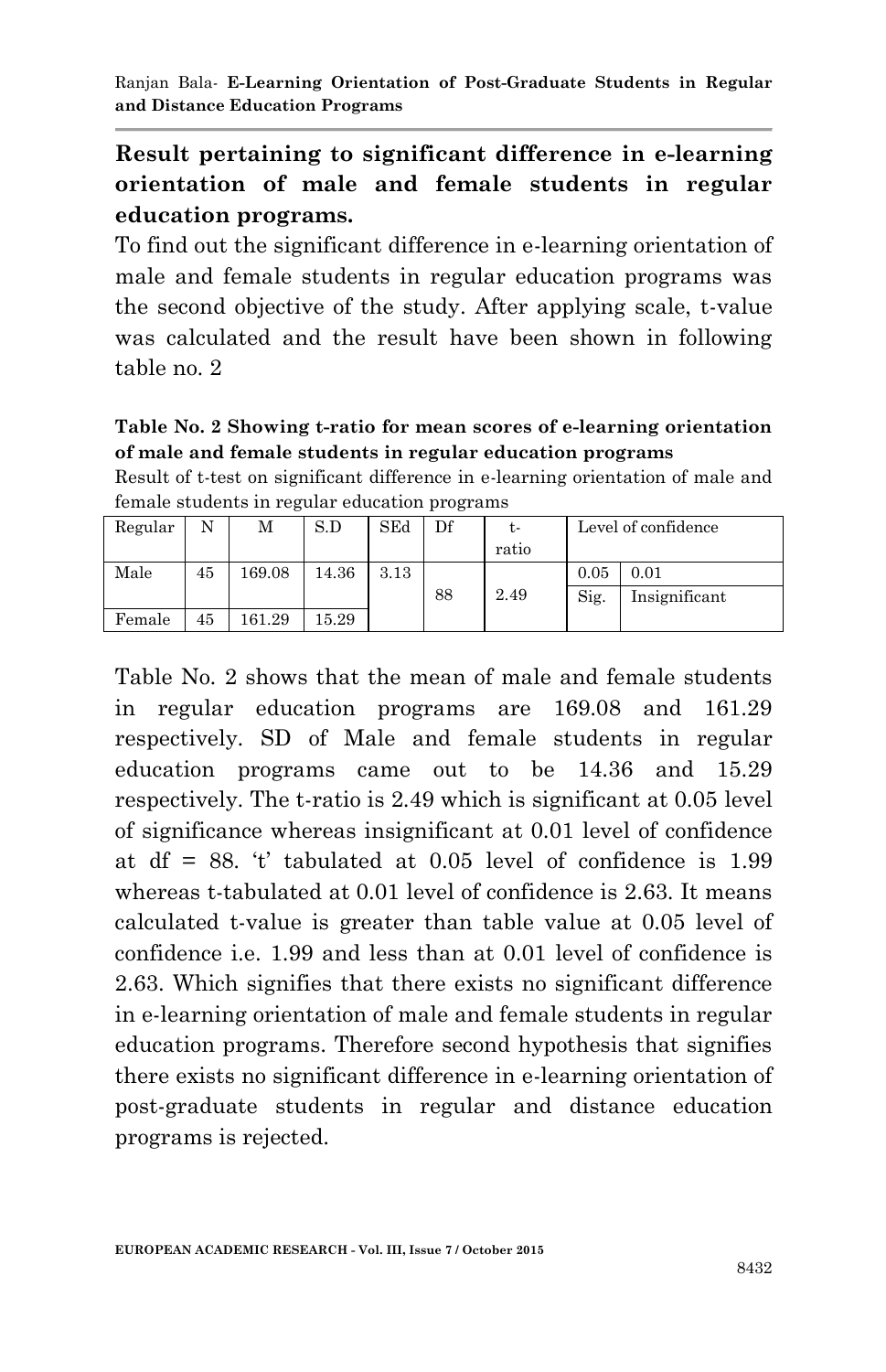# **Result pertaining to significant difference in e-learning orientation of male and female students in regular education programs.**

To find out the significant difference in e-learning orientation of male and female students in regular education programs was the second objective of the study. After applying scale, t-value was calculated and the result have been shown in following table no. 2

#### **Table No. 2 Showing t-ratio for mean scores of e-learning orientation of male and female students in regular education programs**

Result of t-test on significant difference in e-learning orientation of male and female students in regular education programs

| Regular |    | М      | S.D   | SEd  | Df | t-    | Level of confidence |               |
|---------|----|--------|-------|------|----|-------|---------------------|---------------|
|         |    |        |       |      |    | ratio |                     |               |
| Male    | 45 | 169.08 | 14.36 | 3.13 |    |       | 0.05                | 0.01          |
|         |    |        |       |      | 88 | 2.49  | Sig.                | Insignificant |
| Female  | 45 | 161.29 | 15.29 |      |    |       |                     |               |

Table No. 2 shows that the mean of male and female students in regular education programs are 169.08 and 161.29 respectively. SD of Male and female students in regular education programs came out to be 14.36 and 15.29 respectively. The t-ratio is 2.49 which is significant at 0.05 level of significance whereas insignificant at 0.01 level of confidence at df = 88.  $t$  tabulated at 0.05 level of confidence is 1.99 whereas t-tabulated at 0.01 level of confidence is 2.63. It means calculated t-value is greater than table value at 0.05 level of confidence i.e. 1.99 and less than at 0.01 level of confidence is 2.63. Which signifies that there exists no significant difference in e-learning orientation of male and female students in regular education programs. Therefore second hypothesis that signifies there exists no significant difference in e-learning orientation of post-graduate students in regular and distance education programs is rejected.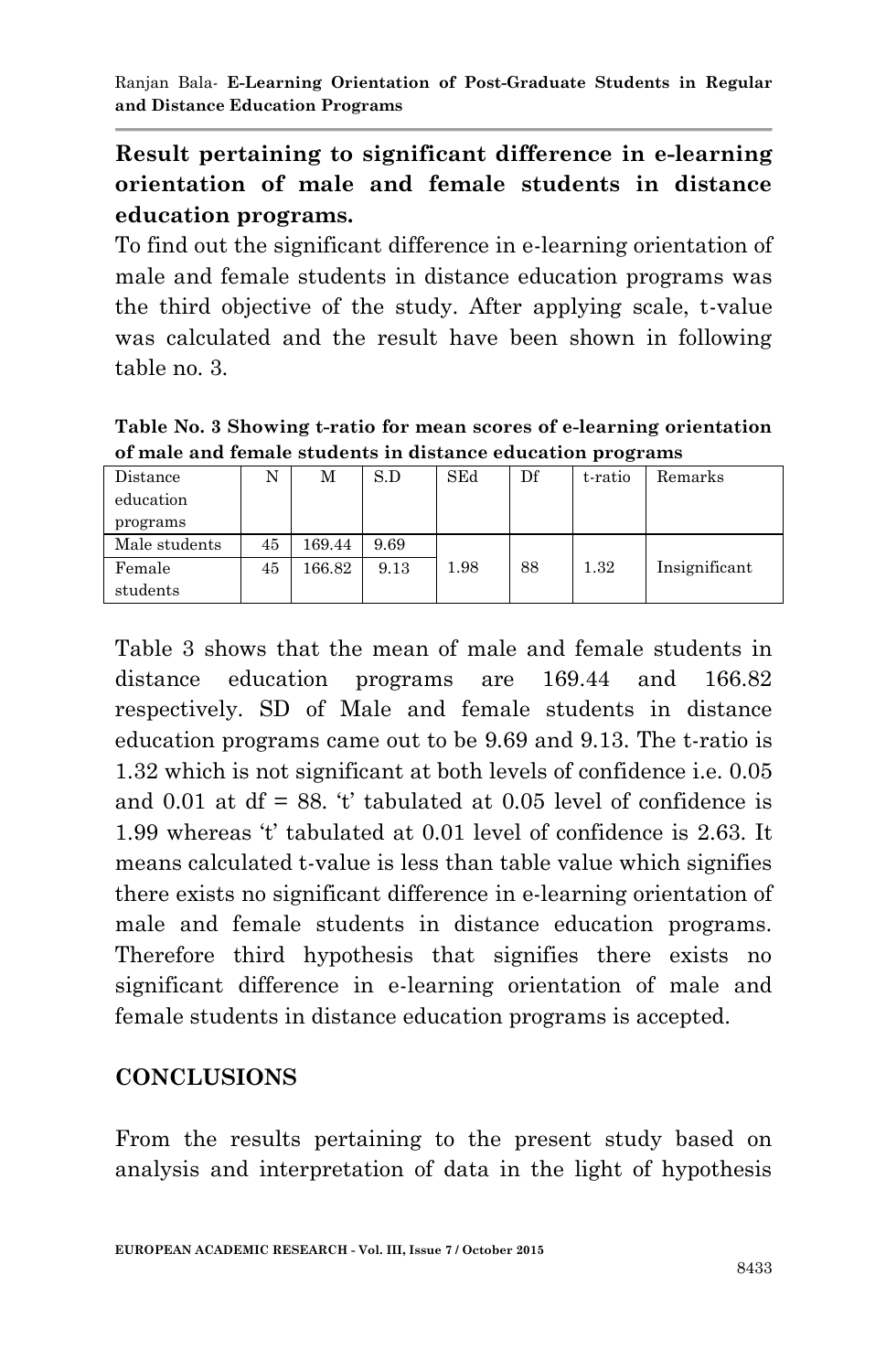# **Result pertaining to significant difference in e-learning orientation of male and female students in distance education programs.**

To find out the significant difference in e-learning orientation of male and female students in distance education programs was the third objective of the study. After applying scale, t-value was calculated and the result have been shown in following table no. 3.

**Table No. 3 Showing t-ratio for mean scores of e-learning orientation of male and female students in distance education programs**

| Distance      | N  | М      | S.D  | SEd  | Df | t-ratio | Remarks       |
|---------------|----|--------|------|------|----|---------|---------------|
| education     |    |        |      |      |    |         |               |
| programs      |    |        |      |      |    |         |               |
| Male students | 45 | 169.44 | 9.69 |      |    |         |               |
| Female        | 45 | 166.82 | 9.13 | 1.98 | 88 | 1.32    | Insignificant |
| students      |    |        |      |      |    |         |               |

Table 3 shows that the mean of male and female students in distance education programs are 169.44 and 166.82 respectively. SD of Male and female students in distance education programs came out to be 9.69 and 9.13. The t-ratio is 1.32 which is not significant at both levels of confidence i.e. 0.05 and 0.01 at  $df = 88$ . 't' tabulated at 0.05 level of confidence is 1.99 whereas 't' tabulated at 0.01 level of confidence is 2.63. It means calculated t-value is less than table value which signifies there exists no significant difference in e-learning orientation of male and female students in distance education programs. Therefore third hypothesis that signifies there exists no significant difference in e-learning orientation of male and female students in distance education programs is accepted.

## **CONCLUSIONS**

From the results pertaining to the present study based on analysis and interpretation of data in the light of hypothesis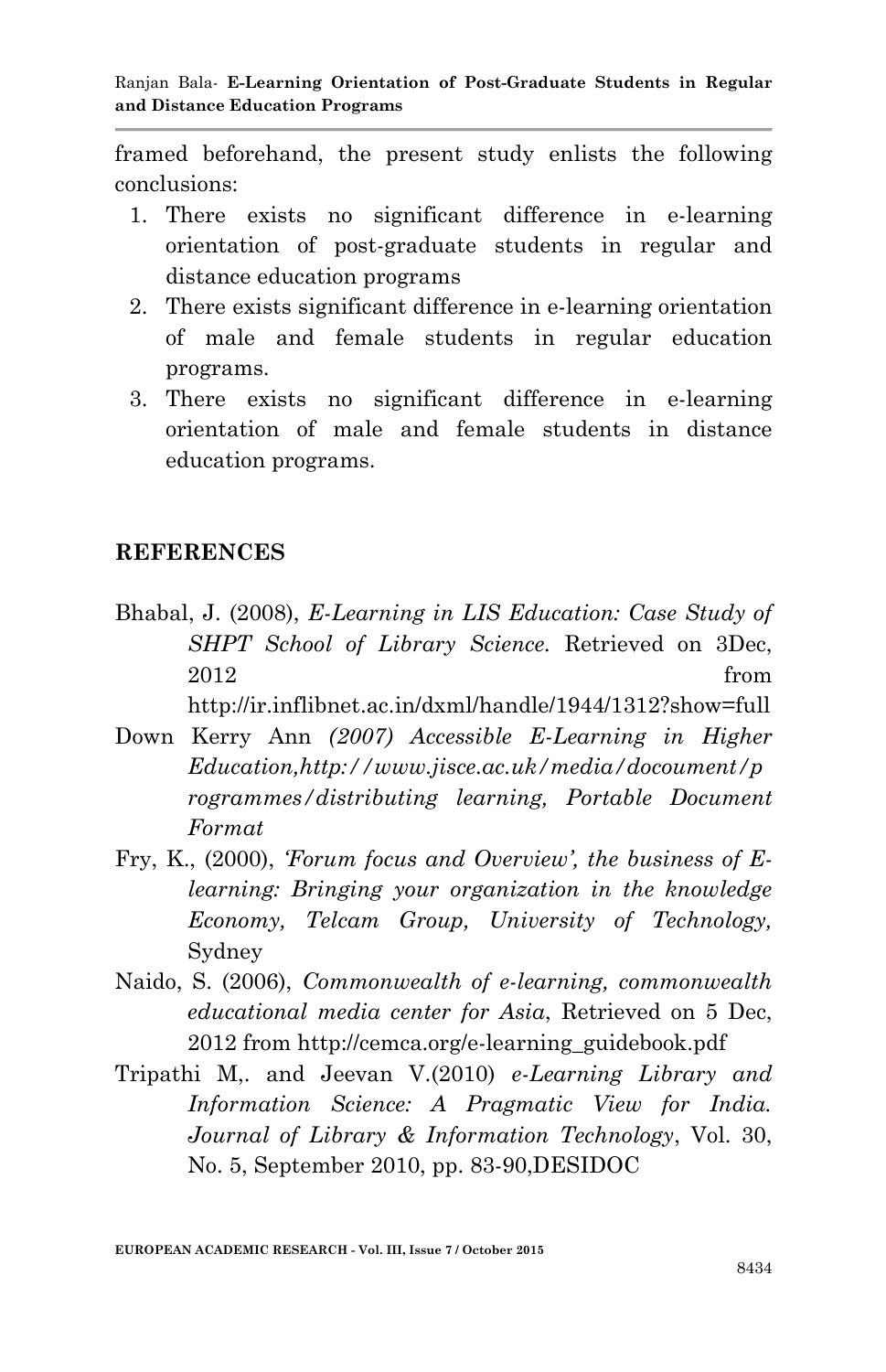framed beforehand, the present study enlists the following conclusions:

- 1. There exists no significant difference in e-learning orientation of post-graduate students in regular and distance education programs
- 2. There exists significant difference in e-learning orientation of male and female students in regular education programs.
- 3. There exists no significant difference in e-learning orientation of male and female students in distance education programs.

#### **REFERENCES**

Bhabal, J. (2008), *E-Learning in LIS Education: Case Study of SHPT School of Library Science.* Retrieved on 3Dec, 2012 from

http://ir.inflibnet.ac.in/dxml/handle/1944/1312?show=full

- Down Kerry Ann *(2007) Accessible E-Learning in Higher Education,http://www.jisce.ac.uk/media/docoument/p rogrammes/distributing learning, Portable Document Format*
- Fry, K., (2000), *'Forum focus and Overview', the business of Elearning: Bringing your organization in the knowledge Economy, Telcam Group, University of Technology,* Sydney
- Naido, S. (2006), *Commonwealth of e-learning, commonwealth educational media center for Asia*, Retrieved on 5 Dec, 2012 from http://cemca.org/e-learning\_guidebook.pdf
- Tripathi M,. and Jeevan V.(2010) *e-Learning Library and Information Science: A Pragmatic View for India. Journal of Library & Information Technology*, Vol. 30, No. 5, September 2010, pp. 83-90,DESIDOC